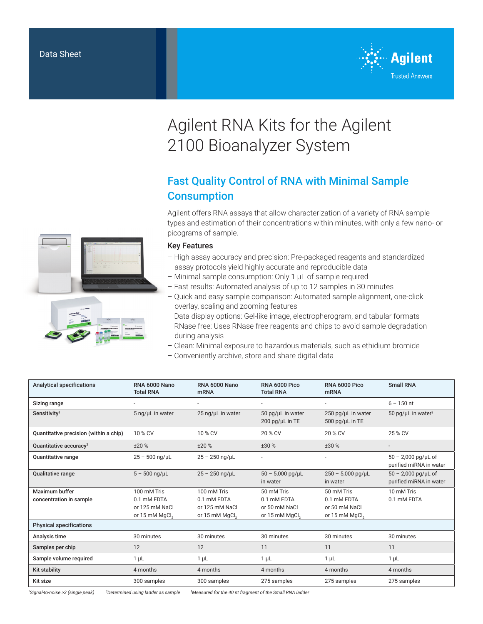

# Agilent RNA Kits for the Agilent 2100 Bioanalyzer System

# Fast Quality Control of RNA with Minimal Sample **Consumption**

Agilent offers RNA assays that allow characterization of a variety of RNA sample types and estimation of their concentrations within minutes, with only a few nano- or picograms of sample.

### Key Features

- High assay accuracy and precision: Pre-packaged reagents and standardized assay protocols yield highly accurate and reproducible data
- Minimal sample consumption: Only 1 μL of sample required
- Fast results: Automated analysis of up to 12 samples in 30 minutes
- Quick and easy sample comparison: Automated sample alignment, one-click overlay, scaling and zooming features
- Data display options: Gel-like image, electropherogram, and tabular formats
- RNase free: Uses RNase free reagents and chips to avoid sample degradation during analysis
- Clean: Minimal exposure to hazardous materials, such as ethidium bromide
- Conveniently archive, store and share digital data

| <b>Analytical specifications</b>       | <b>RNA 6000 Nano</b><br><b>Total RNA</b> | <b>RNA 6000 Nano</b><br><b>mRNA</b> | <b>RNA 6000 Pico</b><br><b>Total RNA</b>     | <b>RNA 6000 Pico</b><br><b>mRNA</b>         | <b>Small RNA</b>                                 |
|----------------------------------------|------------------------------------------|-------------------------------------|----------------------------------------------|---------------------------------------------|--------------------------------------------------|
| Sizing range                           |                                          |                                     | $\overline{\phantom{a}}$                     | $\overline{\phantom{a}}$                    | $6 - 150$ nt                                     |
| Sensitivity <sup>1</sup>               | 5 ng/µL in water                         | 25 ng/µL in water                   | 50 pg/µL in water<br>$200$ pg/ $\mu$ L in TE | 250 pg/uL in water<br>500 pg/ $\mu$ L in TE | 50 pg/ $\mu$ L in water <sup>3</sup>             |
| Quantitative precision (within a chip) | 10 % CV                                  | 10 % CV                             | 20 % CV                                      | 20 % CV                                     | 25 % CV                                          |
| Quantitative accuracy <sup>2</sup>     | ±20%                                     | ±20%                                | ±30%                                         | ±30 %                                       |                                                  |
| <b>Quantitative range</b>              | $25 - 500$ ng/µL                         | $25 - 250$ ng/µL                    |                                              | $\overline{\phantom{a}}$                    | $50 - 2,000$ pg/uL of<br>purified miRNA in water |
| <b>Qualitative range</b>               | $5 - 500$ ng/µL                          | $25 - 250$ ng/µL                    | $50 - 5,000$ pg/µL<br>in water               | $250 - 5,000$ pg/µL<br>in water             | $50 - 2,000$ pg/µL of<br>purified miRNA in water |
| Maximum buffer                         | 100 mM Tris                              | 100 mM Tris                         | 50 mM Tris                                   | 50 mM Tris                                  | 10 mM Tris                                       |
| concentration in sample                | 0.1 mM EDTA                              | 0.1 mM EDTA                         | 0.1 mM EDTA                                  | 0.1 mM EDTA                                 | 0.1 mM EDTA                                      |
|                                        | or 125 mM NaCl                           | or 125 mM NaCl                      | or 50 mM NaCl                                | or 50 mM NaCl                               |                                                  |
|                                        | or 15 mM MgCl <sub>o</sub>               | or 15 mM MgCl <sub>2</sub>          | or 15 mM MgCl <sub>o</sub>                   | or 15 mM MgCl <sub>o</sub>                  |                                                  |
| <b>Physical specifications</b>         |                                          |                                     |                                              |                                             |                                                  |
| Analysis time                          | 30 minutes                               | 30 minutes                          | 30 minutes                                   | 30 minutes                                  | 30 minutes                                       |
| Samples per chip                       | 12                                       | 12                                  | 11                                           | 11                                          | 11                                               |
| Sample volume required                 | $1 \mu L$                                | $1 \mu L$                           | $1 \mu L$                                    | $1 \mu L$                                   | $1 \mu L$                                        |
| <b>Kit stability</b>                   | 4 months                                 | 4 months                            | 4 months                                     | 4 months                                    | 4 months                                         |
| Kit size                               | 300 samples                              | 300 samples                         | 275 samples                                  | 275 samples                                 | 275 samples                                      |